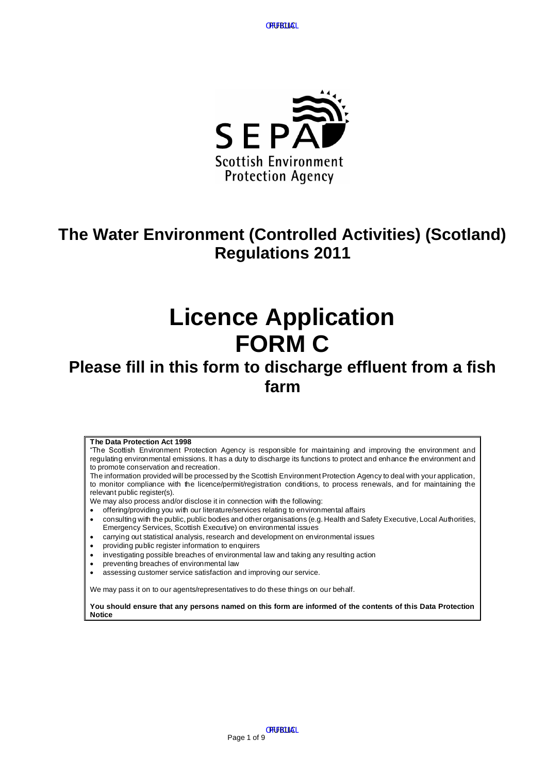

# **The Water Environment (Controlled Activities) (Scotland) Regulations 2011**

# **Licence Application FORM C**

# **Please fill in this form to discharge effluent from a fish farm**

### **The Data Protection Act 1998**

"The Scottish Environment Protection Agency is responsible for maintaining and improving the environment and regulating environmental emissions. It has a duty to discharge its functions to protect and enhance the environment and to promote conservation and recreation.

The information provided will be processed by the Scottish Environment Protection Agency to deal with your application, to monitor compliance with the licence/permit/registration conditions, to process renewals, and for maintaining the relevant public register(s).

We may also process and/or disclose it in connection with the following:

- offering/providing you with our literature/services relating to environmental affairs
- consulting with the public, public bodies and other organisations (e.g. Health and Safety Executive, Local Authorities, Emergency Services, Scottish Executive) on environmental issues
- carrying out statistical analysis, research and development on environmental issues
- providing public register information to enquirers
- investigating possible breaches of environmental law and taking any resulting action
- preventing breaches of environmental law
- assessing customer service satisfaction and improving our service.

We may pass it on to our agents/representatives to do these things on our behalf.

**You should ensure that any persons named on this form are informed of the contents of this Data Protection Notice**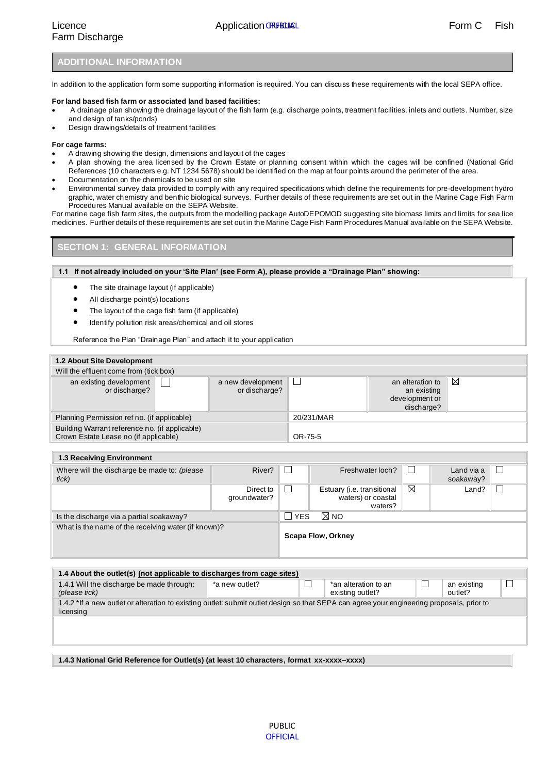### **ADDITIONAL INFORMATION**

In addition to the application form some supporting information is required. You can discuss these requirements with the local SEPA office.

#### **For land based fish farm or associated land based facilities:**

- A drainage plan showing the drainage layout of the fish farm (e.g. discharge points, treatment facilities, inlets and outlets. Number, size and design of tanks/ponds)
- Design drawings/details of treatment facilities

#### **For cage farms:**

- A drawing showing the design, dimensions and layout of the cages
- A plan showing the area licensed by the Crown Estate or planning consent within which the cages will be confined (National Grid References (10 characters e.g. NT 1234 5678) should be identified on the map at four points around the perimeter of the area.
- Documentation on the chemicals to be used on site
- Environmental survey data provided to comply with any required specifications which define the requirements for pre-development hydro graphic, water chemistry and benthic biological surveys. Further details of these requirements are set out in the Marine Cage Fish Farm Procedures Manual available on the SEPA Website.

For marine cage fish farm sites, the outputs from the modelling package AutoDEPOMOD suggesting site biomass limits and limits for sea lice medicines. Further details of these requirements are set out in the Marine Cage Fish Farm Procedures Manual available on the SEPA Website.

### **SECTION 1: GENERAL INFORMATION**

**1.1 If not already included on your 'Site Plan' (see Form A), please provide a "Drainage Plan" showing:**

- The site drainage layout (if applicable)
- All discharge point(s) locations
- The layout of the cage fish farm (if applicable)
- Identify pollution risk areas/chemical and oil stores

Reference the Plan "Drainage Plan" and attach it to your application

| <b>1.2 About Site Development</b>                                                       |  |                                    |            |                                                                 |   |
|-----------------------------------------------------------------------------------------|--|------------------------------------|------------|-----------------------------------------------------------------|---|
| Will the effluent come from (tick box)                                                  |  |                                    |            |                                                                 |   |
| an existing development<br>or discharge?                                                |  | a new development<br>or discharge? |            | an alteration to<br>an existing<br>development or<br>discharge? | ⊠ |
| Planning Permission ref no. (if applicable)                                             |  |                                    | 20/231/MAR |                                                                 |   |
| Building Warrant reference no. (if applicable)<br>Crown Estate Lease no (if applicable) |  | OR-75-5                            |            |                                                                 |   |

| <b>1.3 Receiving Environment</b>                      |                           |            |                                                             |        |                         |  |
|-------------------------------------------------------|---------------------------|------------|-------------------------------------------------------------|--------|-------------------------|--|
| Where will the discharge be made to: (please<br>tick) | River?                    |            | Freshwater loch?                                            | $\Box$ | Land via a<br>soakaway? |  |
|                                                       | Direct to<br>groundwater? |            | Estuary (i.e. transitional<br>waters) or coastal<br>waters? | ⊠      | Land?                   |  |
| Is the discharge via a partial soakaway?              |                           | $\Box$ YES | ⊠ мо                                                        |        |                         |  |
| What is the name of the receiving water (if known)?   |                           |            | <b>Scapa Flow, Orkney</b>                                   |        |                         |  |

| 1.4 About the outlet(s) (not applicable to discharges from cage sites)                                                                                 |                |  |                                          |  |                        |  |
|--------------------------------------------------------------------------------------------------------------------------------------------------------|----------------|--|------------------------------------------|--|------------------------|--|
| 1.4.1 Will the discharge be made through:<br>(please tick)                                                                                             | *a new outlet? |  | *an alteration to an<br>existing outlet? |  | an existing<br>outlet? |  |
| 1.4.2 *If a new outlet or alteration to existing outlet: submit outlet design so that SEPA can agree your engineering proposals, prior to<br>licensing |                |  |                                          |  |                        |  |
|                                                                                                                                                        |                |  |                                          |  |                        |  |
|                                                                                                                                                        |                |  |                                          |  |                        |  |

**1.4.3 National Grid Reference for Outlet(s) (at least 10 characters, format xx-xxxx–xxxx)**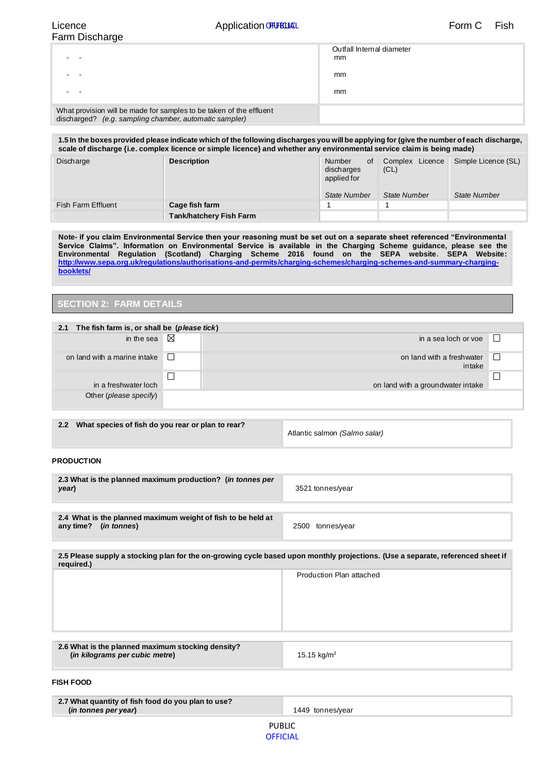# Farm Discharge

 $\overline{R}$ 

| .                                                                                                                             |                                 |
|-------------------------------------------------------------------------------------------------------------------------------|---------------------------------|
|                                                                                                                               | Outfall Internal diameter<br>mm |
|                                                                                                                               | mm                              |
|                                                                                                                               | mm                              |
| What provision will be made for samples to be taken of the effluent<br>discharged? (e.g. sampling chamber, automatic sampler) |                                 |
|                                                                                                                               |                                 |

| 1.5 In the boxes provided please indicate which of the following discharges you will be applying for (give the number of each discharge,<br>scale of discharge {i.e. complex licence or simple licence} and whether any environmental service claim is being made) |                                |                                                           |                                         |                                     |
|--------------------------------------------------------------------------------------------------------------------------------------------------------------------------------------------------------------------------------------------------------------------|--------------------------------|-----------------------------------------------------------|-----------------------------------------|-------------------------------------|
| Discharge                                                                                                                                                                                                                                                          | <b>Description</b>             | Number<br>of<br>discharges<br>applied for<br>State Number | Complex Licence<br>(CL)<br>State Number | Simple Licence (SL)<br>State Number |
| Fish Farm Effluent                                                                                                                                                                                                                                                 | Cage fish farm                 |                                                           |                                         |                                     |
|                                                                                                                                                                                                                                                                    | <b>Tank/hatchery Fish Farm</b> |                                                           |                                         |                                     |

**Note- if you claim Environmental Service then your reasoning must be set out on a separate sheet referenced "Environmental Service Claims". Information on Environmental Service is available in the Charging Scheme guidance, please see the Environmental Regulation (Scotland) Charging Scheme 2016 found on the SEPA website. SEPA Website: [http://www.sepa.org.uk/regulations/authorisations-and-permits/charging-schemes/charging-schemes-and-summary-charging](http://www.sepa.org.uk/regulations/authorisations-and-permits/charging-schemes/charging-schemes-and-summary-charging-booklets/)[booklets/](http://www.sepa.org.uk/regulations/authorisations-and-permits/charging-schemes/charging-schemes-and-summary-charging-booklets/)**

## **SECTION 2: FARM DETAILS**

| The fish farm is, or shall be (please tick)<br>2.1 |  |                                     |  |  |  |  |
|----------------------------------------------------|--|-------------------------------------|--|--|--|--|
| in the sea $\boxtimes$                             |  | in a sea loch or voe                |  |  |  |  |
| on land with a marine intake                       |  | on land with a freshwater<br>intake |  |  |  |  |
| in a freshwater loch                               |  | on land with a groundwater intake   |  |  |  |  |
| Other (please specify)                             |  |                                     |  |  |  |  |

| 2.2 | What species of fish do you rear or plan to rear? |                               |  |
|-----|---------------------------------------------------|-------------------------------|--|
|     |                                                   | Atlantic salmon (Salmo salar) |  |

### **PRODUCTION**

| 2.3 What is the planned maximum production? (in tonnes per<br>year)                      | 3521 tonnes/year    |
|------------------------------------------------------------------------------------------|---------------------|
| 2.4 What is the planned maximum weight of fish to be held at<br>(in tonnes)<br>any time? | tonnes/year<br>2500 |

**2.5 Please supply a stocking plan for the on-growing cycle based upon monthly projections. (Use a separate, referenced sheet if required.)** Production Plan attached

| 2.6 What is the planned maximum stocking density? |                         |
|---------------------------------------------------|-------------------------|
| (in kilograms per cubic metre)                    | 15.15 kg/m <sup>3</sup> |
|                                                   |                         |

#### **FISH FOOD**

| 2.7 What quantity of fish food do you plan to use? |                  |
|----------------------------------------------------|------------------|
| (in tonnes per year)                               | 1449 tonnes/year |

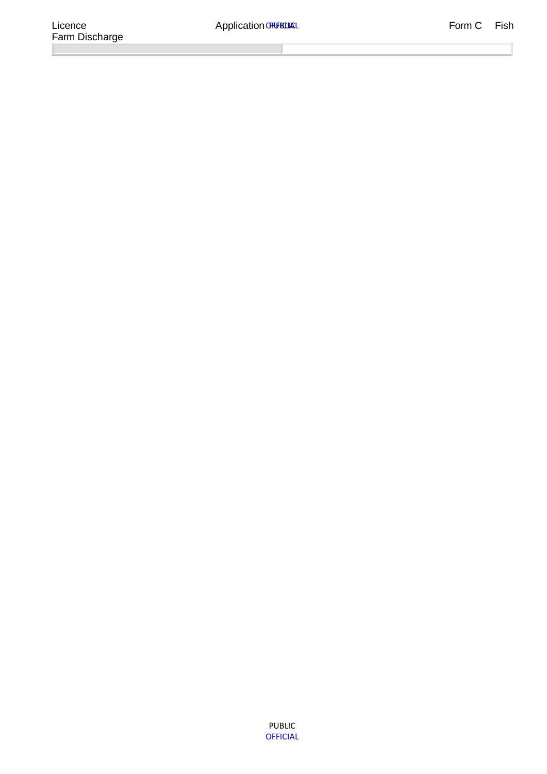PUBLIC **OFFICIAL**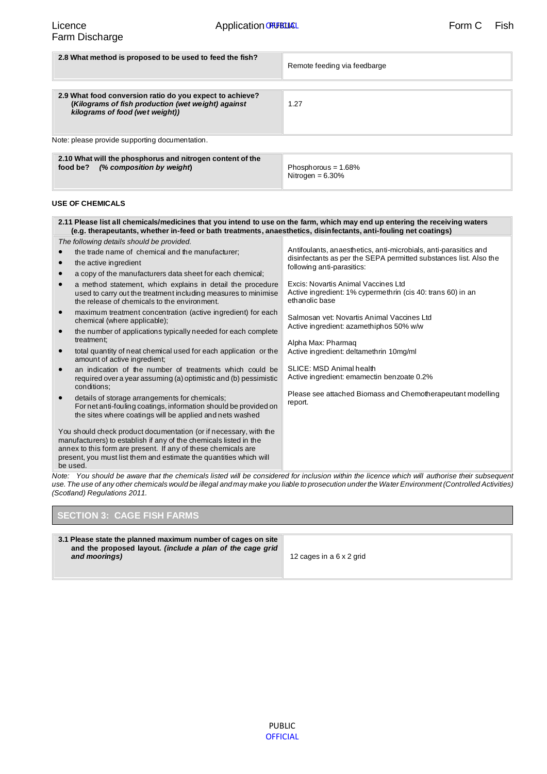| 2.8 What method is proposed to be used to feed the fish?                                                                                          | Remote feeding via feedbarge                  |  |  |
|---------------------------------------------------------------------------------------------------------------------------------------------------|-----------------------------------------------|--|--|
| 2.9 What food conversion ratio do you expect to achieve?<br>(Kilograms of fish production (wet weight) against<br>kilograms of food (wet weight)) | 1.27                                          |  |  |
| Note: please provide supporting documentation.                                                                                                    |                                               |  |  |
| 2.10 What will the phosphorus and nitrogen content of the<br>food be? (% composition by weight)                                                   | Phosphorous = $1.68\%$<br>Nitrogen $= 6.30\%$ |  |  |

#### **USE OF CHEMICALS**

|                                                                                                                                                                                | 2.11 Please list all chemicals/medicines that you intend to use on the farm, which may end up entering the receiving waters<br>(e.g. therapeutants, whether in-feed or bath treatments, anaesthetics, disinfectants, anti-fouling net coatings)                                           |                                                                                                                                       |  |  |
|--------------------------------------------------------------------------------------------------------------------------------------------------------------------------------|-------------------------------------------------------------------------------------------------------------------------------------------------------------------------------------------------------------------------------------------------------------------------------------------|---------------------------------------------------------------------------------------------------------------------------------------|--|--|
|                                                                                                                                                                                | The following details should be provided.                                                                                                                                                                                                                                                 |                                                                                                                                       |  |  |
|                                                                                                                                                                                | the trade name of chemical and the manufacturer:                                                                                                                                                                                                                                          | Antifoulants, anaesthetics, anti-microbials, anti-parasitics and                                                                      |  |  |
| $\bullet$                                                                                                                                                                      | the active ingredient                                                                                                                                                                                                                                                                     | disinfectants as per the SEPA permitted substances list. Also the<br>following anti-parasitics:                                       |  |  |
|                                                                                                                                                                                | a copy of the manufacturers data sheet for each chemical;                                                                                                                                                                                                                                 |                                                                                                                                       |  |  |
|                                                                                                                                                                                | a method statement, which explains in detail the procedure<br>used to carry out the treatment including measures to minimise<br>the release of chemicals to the environment.                                                                                                              | Excis: Novartis Animal Vaccines Ltd<br>Active ingredient: 1% cypermethrin (cis 40: trans 60) in an<br>ethanolic base                  |  |  |
| $\bullet$                                                                                                                                                                      | maximum treatment concentration (active ingredient) for each<br>chemical (where applicable);                                                                                                                                                                                              | Salmosan vet: Novartis Animal Vaccines Ltd<br>Active ingredient: azamethiphos 50% w/w                                                 |  |  |
| $\bullet$                                                                                                                                                                      | the number of applications typically needed for each complete<br>treatment:                                                                                                                                                                                                               | Alpha Max: Pharmaq                                                                                                                    |  |  |
| $\bullet$                                                                                                                                                                      | total quantity of neat chemical used for each application or the<br>amount of active ingredient;                                                                                                                                                                                          | Active ingredient: deltamethrin 10mg/ml                                                                                               |  |  |
|                                                                                                                                                                                | an indication of the number of treatments which could be<br>required over a year assuming (a) optimistic and (b) pessimistic<br>conditions:                                                                                                                                               | SLICE: MSD Animal health<br>Active ingredient: emamectin benzoate 0.2%                                                                |  |  |
| details of storage arrangements for chemicals;<br>For net anti-fouling coatings, information should be provided on<br>the sites where coatings will be applied and nets washed |                                                                                                                                                                                                                                                                                           | Please see attached Biomass and Chemotherapeutant modelling<br>report.                                                                |  |  |
|                                                                                                                                                                                | You should check product documentation (or if necessary, with the<br>manufacturers) to establish if any of the chemicals listed in the<br>annex to this form are present. If any of these chemicals are<br>present, you must list them and estimate the quantities which will<br>be used. | Matar - Marraharilaha armam that tha abamiada Batad rull ha agnaideand faniming cuithin tha Bagnag rubigh rull ardhauina thainarchaga |  |  |

*Note: You should be aware that the chemicals listed will be considered for inclusion within the licence which will authorise their subsequent use. The use of any other chemicals would be illegal and may make you liable to prosecution under the Water Environment (Controlled Activities) (Scotland) Regulations 2011.*

| SECTION 3: CAGE FISH FARMS                                                                                                                 |                          |
|--------------------------------------------------------------------------------------------------------------------------------------------|--------------------------|
| 3.1 Please state the planned maximum number of cages on site<br>and the proposed layout. (include a plan of the cage grid<br>and moorings) | 12 cages in a 6 x 2 grid |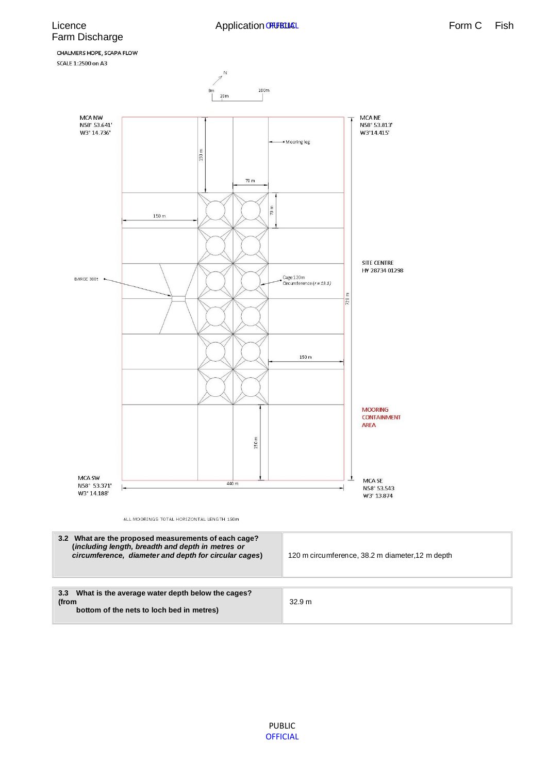

SCALE 1:2500 on A3



| 3.3 What is the average water depth below the cages? |        |
|------------------------------------------------------|--------|
| (from                                                | 32.9 m |
| bottom of the nets to loch bed in metres)            |        |

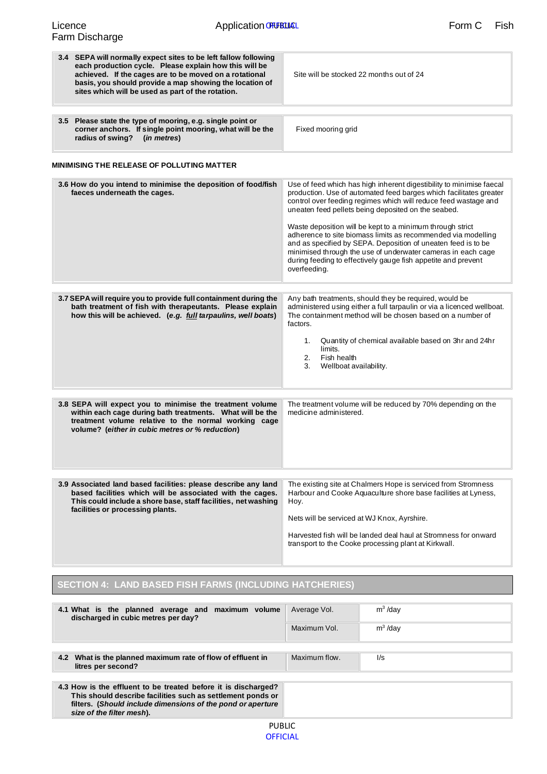| Licence<br>Farm Discharge                                                                                                                                                                                                                                                                           | <b>Application CRUBLICL</b> |                                                                                                                                                                                                                                                                                                                                                                                                                                                                                                                                                                                                                      | Form C | Fish. |
|-----------------------------------------------------------------------------------------------------------------------------------------------------------------------------------------------------------------------------------------------------------------------------------------------------|-----------------------------|----------------------------------------------------------------------------------------------------------------------------------------------------------------------------------------------------------------------------------------------------------------------------------------------------------------------------------------------------------------------------------------------------------------------------------------------------------------------------------------------------------------------------------------------------------------------------------------------------------------------|--------|-------|
| 3.4 SEPA will normally expect sites to be left fallow following<br>each production cycle. Please explain how this will be<br>achieved. If the cages are to be moved on a rotational<br>basis, you should provide a map showing the location of<br>sites which will be used as part of the rotation. |                             | Site will be stocked 22 months out of 24                                                                                                                                                                                                                                                                                                                                                                                                                                                                                                                                                                             |        |       |
| 3.5 Please state the type of mooring, e.g. single point or<br>corner anchors. If single point mooring, what will be the<br>radius of swing? (in metres)                                                                                                                                             |                             | Fixed mooring grid                                                                                                                                                                                                                                                                                                                                                                                                                                                                                                                                                                                                   |        |       |
| MINIMISING THE RELEASE OF POLLUTING MATTER                                                                                                                                                                                                                                                          |                             |                                                                                                                                                                                                                                                                                                                                                                                                                                                                                                                                                                                                                      |        |       |
| 3.6 How do you intend to minimise the deposition of food/fish<br>faeces underneath the cages.                                                                                                                                                                                                       |                             | Use of feed which has high inherent digestibility to minimise faecal<br>production. Use of automated feed barges which facilitates greater<br>control over feeding regimes which will reduce feed wastage and<br>uneaten feed pellets being deposited on the seabed.<br>Waste deposition will be kept to a minimum through strict<br>adherence to site biomass limits as recommended via modelling<br>and as specified by SEPA. Deposition of uneaten feed is to be<br>minimised through the use of underwater cameras in each cage<br>during feeding to effectively gauge fish appetite and prevent<br>overfeeding. |        |       |
| 3.7 SEPA will require you to provide full containment during the<br>bath treatment of fish with therapeutants. Please explain<br>how this will be achieved. (e.g. full tarpaulins, well boats)                                                                                                      |                             | Any bath treatments, should they be required, would be<br>administered using either a full tarpaulin or via a licenced wellboat.<br>The containment method will be chosen based on a number of<br>factors.<br>Quantity of chemical available based on 3hr and 24hr<br>1.<br>limits.<br>2.<br>Fish health<br>Wellboat availability.<br>3.                                                                                                                                                                                                                                                                             |        |       |
| 3.8 SEPA will expect you to minimise the treatment volume                                                                                                                                                                                                                                           |                             | The treatment volume will be reduced by 70% depending on the                                                                                                                                                                                                                                                                                                                                                                                                                                                                                                                                                         |        |       |
| within each cage during bath treatments. What will be the<br>treatment volume relative to the normal working cage<br>volume? (either in cubic metres or % reduction)                                                                                                                                |                             | medicine administered.                                                                                                                                                                                                                                                                                                                                                                                                                                                                                                                                                                                               |        |       |
| 3.9 Associated land based facilities: please describe any land                                                                                                                                                                                                                                      |                             | The existing site at Chalmers Hope is serviced from Stromness                                                                                                                                                                                                                                                                                                                                                                                                                                                                                                                                                        |        |       |

**based facilities which will be associated with the cages. This could include a shore base, staff facilities, net washing**  he existing site at Chalmers Hope is serviced from Stromness Harbour and Cooke Aquaculture shore base facilities at Lyness, Hoy.

Nets will be serviced at WJ Knox, Ayrshire.

Harvested fish will be landed deal haul at Stromness for onward transport to the Cooke processing plant at Kirkwall.

## **SECTION 4: LAND BASED FISH FARMS (INCLUDING HATCHERIES)**

**facilities or processing plants.**

| 4.1 What is the planned average and maximum volume<br>discharged in cubic metres per day?                                                                                                                                 | Average Vol.  | $m^3$ /day |
|---------------------------------------------------------------------------------------------------------------------------------------------------------------------------------------------------------------------------|---------------|------------|
|                                                                                                                                                                                                                           | Maximum Vol.  | $m^3$ /day |
|                                                                                                                                                                                                                           |               |            |
| 4.2 What is the planned maximum rate of flow of effluent in<br>litres per second?                                                                                                                                         | Maximum flow. | I/s        |
|                                                                                                                                                                                                                           |               |            |
| 4.3 How is the effluent to be treated before it is discharged?<br>This should describe facilities such as settlement ponds or<br>filters. (Should include dimensions of the pond or aperture<br>size of the filter mesh). |               |            |
| PUBLIC.                                                                                                                                                                                                                   |               |            |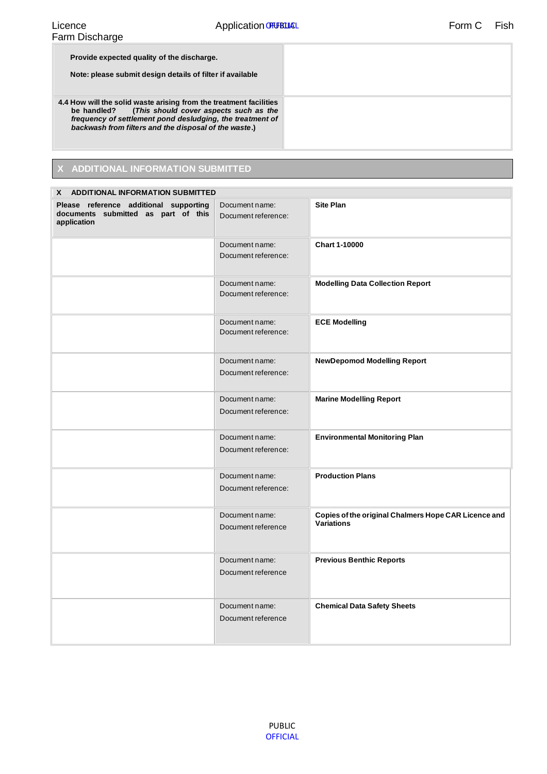**Provide expected quality of the discharge.**

 **Note: please submit design details of filter if available**

**4.4 How will the solid waste arising from the treatment facilities be handled? (***This should cover aspects such as the frequency of settlement pond desludging, the treatment of backwash from filters and the disposal of the waste***.)**

### **X ADDITIONAL INFORMATION SUBMITTED**

| <b>ADDITIONAL INFORMATION SUBMITTED</b><br>X.                                                |                                       |                                                                           |  |
|----------------------------------------------------------------------------------------------|---------------------------------------|---------------------------------------------------------------------------|--|
| Please reference additional supporting<br>documents submitted as part of this<br>application | Document name:<br>Document reference: | <b>Site Plan</b>                                                          |  |
|                                                                                              | Document name:<br>Document reference: | <b>Chart 1-10000</b>                                                      |  |
|                                                                                              | Document name:<br>Document reference: | <b>Modelling Data Collection Report</b>                                   |  |
|                                                                                              | Document name:<br>Document reference: | <b>ECE Modelling</b>                                                      |  |
|                                                                                              | Document name:<br>Document reference: | <b>NewDepomod Modelling Report</b>                                        |  |
|                                                                                              | Document name:<br>Document reference: | <b>Marine Modelling Report</b>                                            |  |
|                                                                                              | Document name:<br>Document reference: | <b>Environmental Monitoring Plan</b>                                      |  |
|                                                                                              | Document name:<br>Document reference: | <b>Production Plans</b>                                                   |  |
|                                                                                              | Document name:<br>Document reference  | Copies of the original Chalmers Hope CAR Licence and<br><b>Variations</b> |  |
|                                                                                              | Document name:<br>Document reference  | <b>Previous Benthic Reports</b>                                           |  |
|                                                                                              | Document name:<br>Document reference  | <b>Chemical Data Safety Sheets</b>                                        |  |